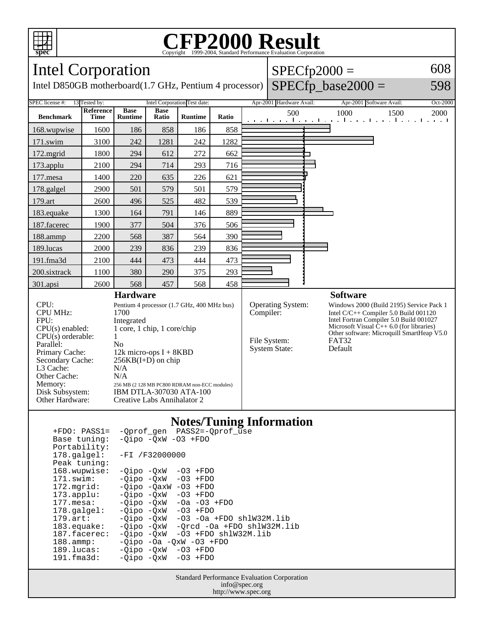

## Copyright ©1999-2004, Standard Performance Evaluation Corporation

| <b>Intel Corporation</b>                                                                                                                                                                                                                                                                                                                                                                                                                                                                                                                                                                                                                                                                                                                                                                                   |                          |                                                                                                                                                                                                                                                                                                     |                      |                |       |           |                                                                  | $SPECfp2000 =$                                                                                                                                                                                                                                       | 608      |
|------------------------------------------------------------------------------------------------------------------------------------------------------------------------------------------------------------------------------------------------------------------------------------------------------------------------------------------------------------------------------------------------------------------------------------------------------------------------------------------------------------------------------------------------------------------------------------------------------------------------------------------------------------------------------------------------------------------------------------------------------------------------------------------------------------|--------------------------|-----------------------------------------------------------------------------------------------------------------------------------------------------------------------------------------------------------------------------------------------------------------------------------------------------|----------------------|----------------|-------|-----------|------------------------------------------------------------------|------------------------------------------------------------------------------------------------------------------------------------------------------------------------------------------------------------------------------------------------------|----------|
| $SPECfp\_base2000 =$<br>598<br>Intel D850GB motherboard(1.7 GHz, Pentium 4 processor)                                                                                                                                                                                                                                                                                                                                                                                                                                                                                                                                                                                                                                                                                                                      |                          |                                                                                                                                                                                                                                                                                                     |                      |                |       |           |                                                                  |                                                                                                                                                                                                                                                      |          |
| SPEC license #:<br>13 Tested by:<br>Intel Corporation Test date:<br>Apr-2001 Hardware Avail:<br>Apr-2001 Software Avail:                                                                                                                                                                                                                                                                                                                                                                                                                                                                                                                                                                                                                                                                                   |                          |                                                                                                                                                                                                                                                                                                     |                      |                |       |           |                                                                  |                                                                                                                                                                                                                                                      | Oct-2000 |
| <b>Benchmark</b>                                                                                                                                                                                                                                                                                                                                                                                                                                                                                                                                                                                                                                                                                                                                                                                           | Reference<br><b>Time</b> | <b>Base</b><br><b>Runtime</b>                                                                                                                                                                                                                                                                       | <b>Base</b><br>Ratio | <b>Runtime</b> | Ratio |           | 500                                                              | 1000<br>1500<br>التعبيلية بالتعبيلية وبالتعبيل والمعتمل وعاروها                                                                                                                                                                                      | 2000     |
| 168.wupwise                                                                                                                                                                                                                                                                                                                                                                                                                                                                                                                                                                                                                                                                                                                                                                                                | 1600                     | 186                                                                                                                                                                                                                                                                                                 | 858                  | 186            | 858   |           |                                                                  |                                                                                                                                                                                                                                                      |          |
| 171.swim                                                                                                                                                                                                                                                                                                                                                                                                                                                                                                                                                                                                                                                                                                                                                                                                   | 3100                     | 242                                                                                                                                                                                                                                                                                                 | 1281                 | 242            | 1282  |           |                                                                  |                                                                                                                                                                                                                                                      |          |
| 172.mgrid                                                                                                                                                                                                                                                                                                                                                                                                                                                                                                                                                                                                                                                                                                                                                                                                  | 1800                     | 294                                                                                                                                                                                                                                                                                                 | 612                  | 272            | 662   |           |                                                                  |                                                                                                                                                                                                                                                      |          |
| 173.applu                                                                                                                                                                                                                                                                                                                                                                                                                                                                                                                                                                                                                                                                                                                                                                                                  | 2100                     | 294                                                                                                                                                                                                                                                                                                 | 714                  | 293            | 716   |           |                                                                  |                                                                                                                                                                                                                                                      |          |
| 177.mesa                                                                                                                                                                                                                                                                                                                                                                                                                                                                                                                                                                                                                                                                                                                                                                                                   | 1400                     | 220                                                                                                                                                                                                                                                                                                 | 635                  | 226            | 621   |           |                                                                  |                                                                                                                                                                                                                                                      |          |
| 178.galgel                                                                                                                                                                                                                                                                                                                                                                                                                                                                                                                                                                                                                                                                                                                                                                                                 | 2900                     | 501                                                                                                                                                                                                                                                                                                 | 579                  | 501            | 579   |           |                                                                  |                                                                                                                                                                                                                                                      |          |
| 179.art                                                                                                                                                                                                                                                                                                                                                                                                                                                                                                                                                                                                                                                                                                                                                                                                    | 2600                     | 496                                                                                                                                                                                                                                                                                                 | 525                  | 482            | 539   |           |                                                                  |                                                                                                                                                                                                                                                      |          |
| 183.equake                                                                                                                                                                                                                                                                                                                                                                                                                                                                                                                                                                                                                                                                                                                                                                                                 | 1300                     | 164                                                                                                                                                                                                                                                                                                 | 791                  | 146            | 889   |           |                                                                  |                                                                                                                                                                                                                                                      |          |
| 187.facerec                                                                                                                                                                                                                                                                                                                                                                                                                                                                                                                                                                                                                                                                                                                                                                                                | 1900                     | 377                                                                                                                                                                                                                                                                                                 | 504                  | 376            | 506   |           |                                                                  |                                                                                                                                                                                                                                                      |          |
| 188.ammp                                                                                                                                                                                                                                                                                                                                                                                                                                                                                                                                                                                                                                                                                                                                                                                                   | 2200                     | 568                                                                                                                                                                                                                                                                                                 | 387                  | 564            | 390   |           |                                                                  |                                                                                                                                                                                                                                                      |          |
| 189.lucas                                                                                                                                                                                                                                                                                                                                                                                                                                                                                                                                                                                                                                                                                                                                                                                                  | 2000                     | 239                                                                                                                                                                                                                                                                                                 | 836                  | 239            | 836   |           |                                                                  |                                                                                                                                                                                                                                                      |          |
| 191.fma3d                                                                                                                                                                                                                                                                                                                                                                                                                                                                                                                                                                                                                                                                                                                                                                                                  | 2100                     | 444                                                                                                                                                                                                                                                                                                 | 473                  | 444            | 473   |           |                                                                  |                                                                                                                                                                                                                                                      |          |
| 200.sixtrack                                                                                                                                                                                                                                                                                                                                                                                                                                                                                                                                                                                                                                                                                                                                                                                               | 1100                     | 380                                                                                                                                                                                                                                                                                                 | 290                  | 375            | 293   |           |                                                                  |                                                                                                                                                                                                                                                      |          |
| 301.apsi                                                                                                                                                                                                                                                                                                                                                                                                                                                                                                                                                                                                                                                                                                                                                                                                   | 2600                     | 568                                                                                                                                                                                                                                                                                                 | 457                  | 568            | 458   |           |                                                                  |                                                                                                                                                                                                                                                      |          |
| <b>Hardware</b><br><b>Software</b>                                                                                                                                                                                                                                                                                                                                                                                                                                                                                                                                                                                                                                                                                                                                                                         |                          |                                                                                                                                                                                                                                                                                                     |                      |                |       |           |                                                                  |                                                                                                                                                                                                                                                      |          |
| CPU:<br><b>CPU MHz:</b><br>FPU:<br>$CPU(s)$ enabled:<br>$CPU(s)$ orderable:<br>Parallel:<br>Primary Cache:<br>Secondary Cache:<br>L <sub>3</sub> Cache:<br>Other Cache:<br>Memory:<br>Disk Subsystem:<br>Other Hardware:                                                                                                                                                                                                                                                                                                                                                                                                                                                                                                                                                                                   |                          | Pentium 4 processor (1.7 GHz, 400 MHz bus)<br>1700<br>Integrated<br>1 core, 1 chip, 1 core/chip<br>1<br>N <sub>o</sub><br>12k micro-ops $I + 8KBD$<br>$256KB(I+D)$ on chip<br>N/A<br>N/A<br>256 MB (2 128 MB PC800 RDRAM non-ECC modules)<br>IBM DTLA-307030 ATA-100<br>Creative Labs Annihalator 2 |                      |                |       | Compiler: | <b>Operating System:</b><br>File System:<br><b>System State:</b> | Windows 2000 (Build 2195) Service Pack 1<br>Intel C/C++ Compiler 5.0 Build 001120<br>Intel Fortran Compiler 5.0 Build 001027<br>Microsoft Visual $\bar{C}_{++}$ 6.0 (for libraries)<br>Other software: Microquill SmartHeap V5.0<br>FAT32<br>Default |          |
| <b>Notes/Tuning Information</b><br>$-$ Oprof gen PASS2=-Oprof use<br>$+FDO: PASS1=$<br>$-Qipo -QxW -O3 + FDO$<br>Base tuning:<br>Portability:<br>178.galgel:<br>$-FI / F32000000$<br>Peak tuning:<br>168.wupwise:<br>-Qipo -QxW<br>$-03$ +FDO<br>171.swim:<br>-Qipo -QxW<br>$-03$ +FDO<br>172.mgrid:<br>$-Qipo -QaxW -O3 + FDO$<br>$-03$ +FDO<br>$173.\text{applu}:$<br>-Qipo -QxW<br>-Qipo -QxW<br>$177.$ mesa:<br>$-0a$ $-03$ $+FDO$<br>-Qipo -QxW<br>178.galgel:<br>$-03$ +FDO<br>$179.\text{art}$ :<br>-Qipo -QxW<br>$-03$ $-0a$ $+FDO$ $shlW32M.lib$<br>-Qipo -QxW<br>183.equake:<br>-Qrcd -Oa +FDO shlW32M.lib<br>187.facerec:<br>-Qipo -QxW<br>$-03$ +FDO shlW32M.lib<br>188.ammp:<br>$-Qipo$ -Oa -QxW -O3 +FDO<br>189.lucas:<br>-Qipo -QxW<br>$-03$ +FDO<br>191.fma3d:<br>-Qipo -QxW<br>$-03$ +FDO |                          |                                                                                                                                                                                                                                                                                                     |                      |                |       |           |                                                                  |                                                                                                                                                                                                                                                      |          |

Standard Performance Evaluation Corporation info@spec.org http://www.spec.org